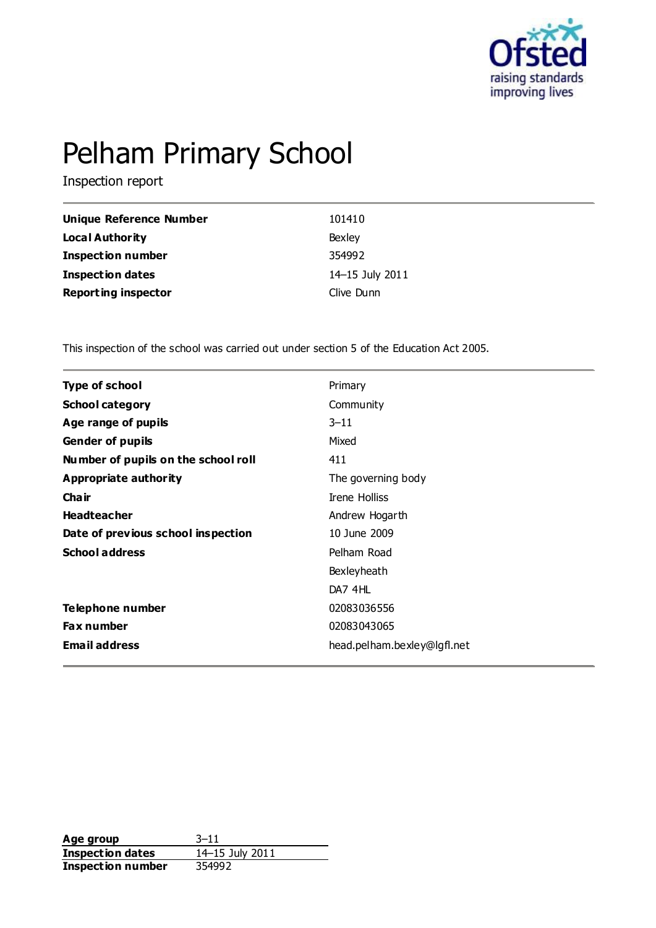

# Pelham Primary School

Inspection report

| Unique Reference Number    | 101410          |
|----------------------------|-----------------|
| Local Authority            | Bexley          |
| <b>Inspection number</b>   | 354992          |
| <b>Inspection dates</b>    | 14-15 July 2011 |
| <b>Reporting inspector</b> | Clive Dunn      |

This inspection of the school was carried out under section 5 of the Education Act 2005.

| <b>Type of school</b>               | Primary                     |
|-------------------------------------|-----------------------------|
| <b>School category</b>              | Community                   |
| Age range of pupils                 | $3 - 11$                    |
| <b>Gender of pupils</b>             | Mixed                       |
| Number of pupils on the school roll | 411                         |
| Appropriate authority               | The governing body          |
| Cha ir                              | <b>Irene Holliss</b>        |
| <b>Headteacher</b>                  | Andrew Hogarth              |
| Date of previous school inspection  | 10 June 2009                |
| <b>School address</b>               | Pelham Road                 |
|                                     | Bexleyheath                 |
|                                     | DA7 4HL                     |
| Telephone number                    | 02083036556                 |
| <b>Fax number</b>                   | 02083043065                 |
| <b>Email address</b>                | head.pelham.bexley@lgfl.net |
|                                     |                             |

**Age group** 3-11<br> **Inspection dates** 14-15 July 2011 **Inspection dates Inspection number** 354992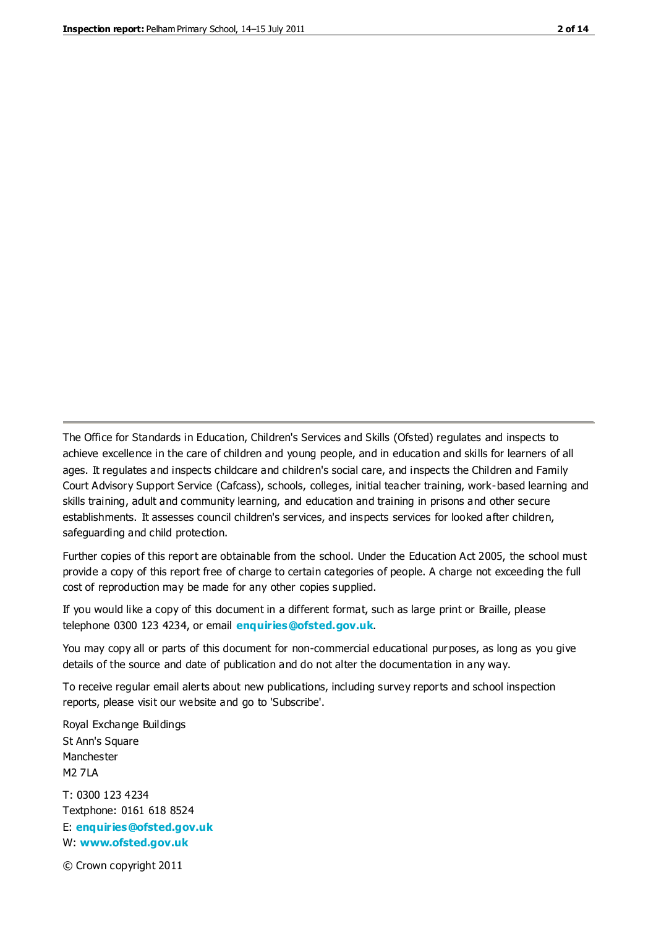The Office for Standards in Education, Children's Services and Skills (Ofsted) regulates and inspects to achieve excellence in the care of children and young people, and in education and skills for learners of all ages. It regulates and inspects childcare and children's social care, and inspects the Children and Family Court Advisory Support Service (Cafcass), schools, colleges, initial teacher training, work-based learning and skills training, adult and community learning, and education and training in prisons and other secure establishments. It assesses council children's services, and inspects services for looked after children, safeguarding and child protection.

Further copies of this report are obtainable from the school. Under the Education Act 2005, the school must provide a copy of this report free of charge to certain categories of people. A charge not exceeding the full cost of reproduction may be made for any other copies supplied.

If you would like a copy of this document in a different format, such as large print or Braille, please telephone 0300 123 4234, or email **[enquiries@ofsted.gov.uk](mailto:enquiries@ofsted.gov.uk)**.

You may copy all or parts of this document for non-commercial educational purposes, as long as you give details of the source and date of publication and do not alter the documentation in any way.

To receive regular email alerts about new publications, including survey reports and school inspection reports, please visit our website and go to 'Subscribe'.

Royal Exchange Buildings St Ann's Square Manchester M2 7LA T: 0300 123 4234 Textphone: 0161 618 8524 E: **[enquiries@ofsted.gov.uk](mailto:enquiries@ofsted.gov.uk)**

W: **[www.ofsted.gov.uk](http://www.ofsted.gov.uk/)**

© Crown copyright 2011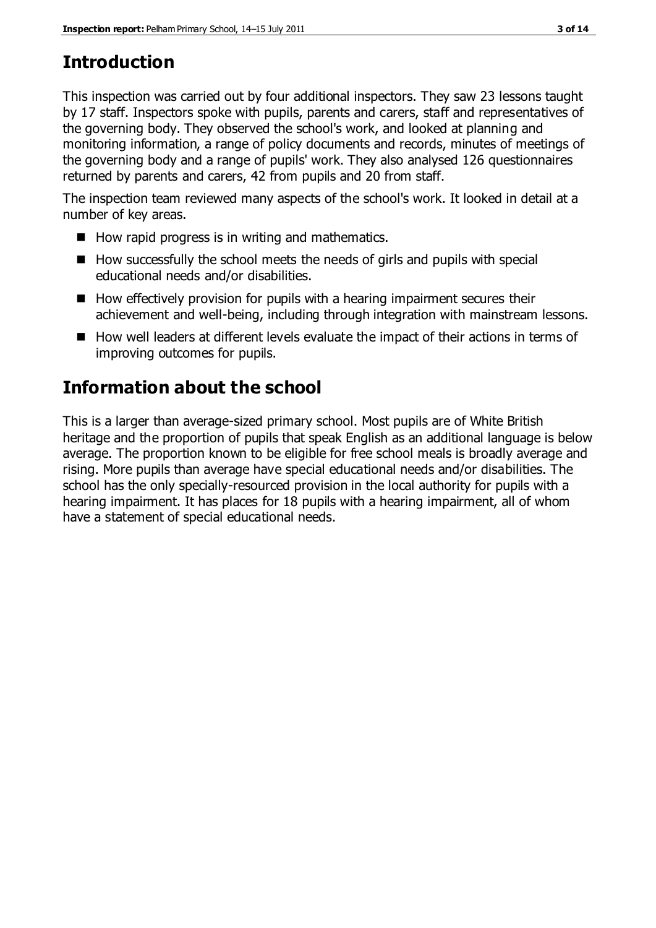## **Introduction**

This inspection was carried out by four additional inspectors. They saw 23 lessons taught by 17 staff. Inspectors spoke with pupils, parents and carers, staff and representatives of the governing body. They observed the school's work, and looked at planning and monitoring information, a range of policy documents and records, minutes of meetings of the governing body and a range of pupils' work. They also analysed 126 questionnaires returned by parents and carers, 42 from pupils and 20 from staff.

The inspection team reviewed many aspects of the school's work. It looked in detail at a number of key areas.

- $\blacksquare$  How rapid progress is in writing and mathematics.
- $\blacksquare$  How successfully the school meets the needs of girls and pupils with special educational needs and/or disabilities.
- $\blacksquare$  How effectively provision for pupils with a hearing impairment secures their achievement and well-being, including through integration with mainstream lessons.
- How well leaders at different levels evaluate the impact of their actions in terms of improving outcomes for pupils.

## **Information about the school**

This is a larger than average-sized primary school. Most pupils are of White British heritage and the proportion of pupils that speak English as an additional language is below average. The proportion known to be eligible for free school meals is broadly average and rising. More pupils than average have special educational needs and/or disabilities. The school has the only specially-resourced provision in the local authority for pupils with a hearing impairment. It has places for 18 pupils with a hearing impairment, all of whom have a statement of special educational needs.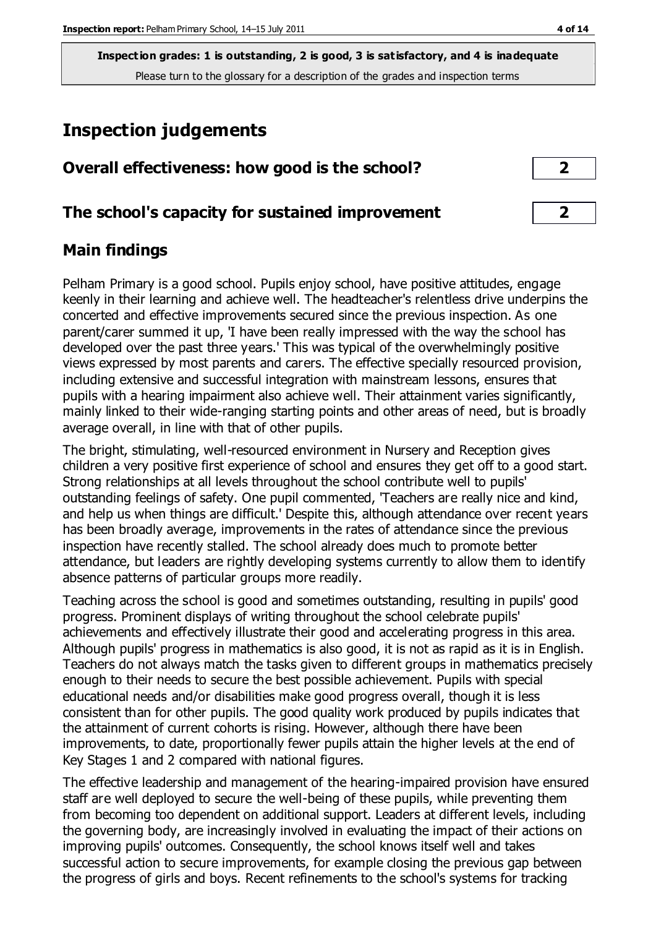**Inspection grades: 1 is outstanding, 2 is good, 3 is satisfactory, and 4 is inadequate** Please turn to the glossary for a description of the grades and inspection terms

## **Inspection judgements**

| Overall effectiveness: how good is the school? |  |
|------------------------------------------------|--|
|------------------------------------------------|--|

### **The school's capacity for sustained improvement 2**

### **Main findings**

Pelham Primary is a good school. Pupils enjoy school, have positive attitudes, engage keenly in their learning and achieve well. The headteacher's relentless drive underpins the concerted and effective improvements secured since the previous inspection. As one parent/carer summed it up, 'I have been really impressed with the way the school has developed over the past three years.' This was typical of the overwhelmingly positive views expressed by most parents and carers. The effective specially resourced provision, including extensive and successful integration with mainstream lessons, ensures that pupils with a hearing impairment also achieve well. Their attainment varies significantly, mainly linked to their wide-ranging starting points and other areas of need, but is broadly average overall, in line with that of other pupils.

The bright, stimulating, well-resourced environment in Nursery and Reception gives children a very positive first experience of school and ensures they get off to a good start. Strong relationships at all levels throughout the school contribute well to pupils' outstanding feelings of safety. One pupil commented, 'Teachers are really nice and kind, and help us when things are difficult.' Despite this, although attendance over recent years has been broadly average, improvements in the rates of attendance since the previous inspection have recently stalled. The school already does much to promote better attendance, but leaders are rightly developing systems currently to allow them to identify absence patterns of particular groups more readily.

Teaching across the school is good and sometimes outstanding, resulting in pupils' good progress. Prominent displays of writing throughout the school celebrate pupils' achievements and effectively illustrate their good and accelerating progress in this area. Although pupils' progress in mathematics is also good, it is not as rapid as it is in English. Teachers do not always match the tasks given to different groups in mathematics precisely enough to their needs to secure the best possible achievement. Pupils with special educational needs and/or disabilities make good progress overall, though it is less consistent than for other pupils. The good quality work produced by pupils indicates that the attainment of current cohorts is rising. However, although there have been improvements, to date, proportionally fewer pupils attain the higher levels at the end of Key Stages 1 and 2 compared with national figures.

The effective leadership and management of the hearing-impaired provision have ensured staff are well deployed to secure the well-being of these pupils, while preventing them from becoming too dependent on additional support. Leaders at different levels, including the governing body, are increasingly involved in evaluating the impact of their actions on improving pupils' outcomes. Consequently, the school knows itself well and takes successful action to secure improvements, for example closing the previous gap between the progress of girls and boys. Recent refinements to the school's systems for tracking

| $\overline{\mathbf{2}}$ |  |
|-------------------------|--|
|                         |  |
|                         |  |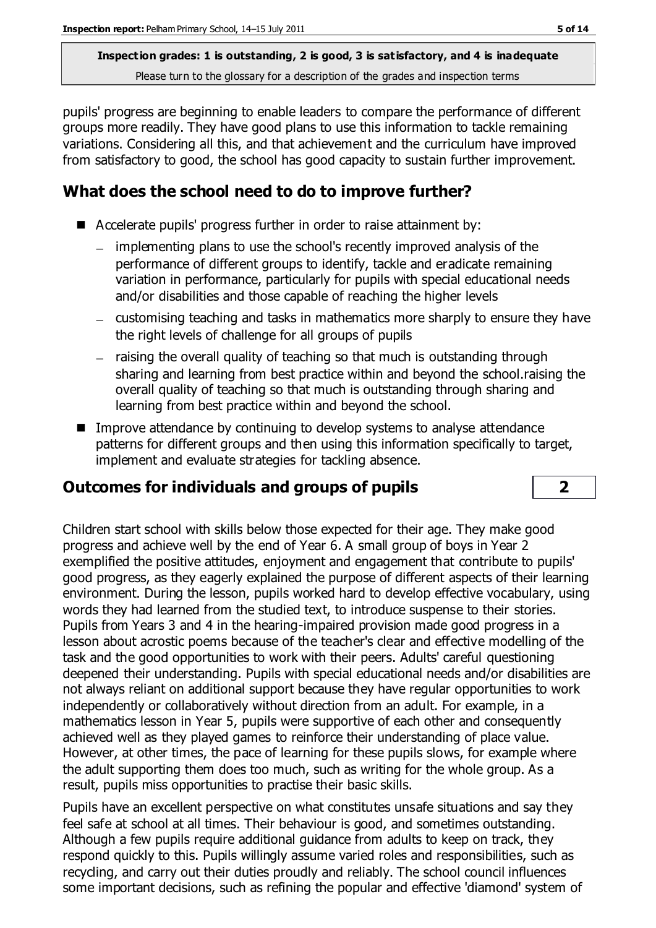**Inspection grades: 1 is outstanding, 2 is good, 3 is satisfactory, and 4 is inadequate** Please turn to the glossary for a description of the grades and inspection terms

pupils' progress are beginning to enable leaders to compare the performance of different groups more readily. They have good plans to use this information to tackle remaining variations. Considering all this, and that achievement and the curriculum have improved from satisfactory to good, the school has good capacity to sustain further improvement.

## **What does the school need to do to improve further?**

- Accelerate pupils' progress further in order to raise attainment by:
	- implementing plans to use the school's recently improved analysis of the performance of different groups to identify, tackle and eradicate remaining variation in performance, particularly for pupils with special educational needs and/or disabilities and those capable of reaching the higher levels
	- customising teaching and tasks in mathematics more sharply to ensure they have the right levels of challenge for all groups of pupils
	- raising the overall quality of teaching so that much is outstanding through sharing and learning from best practice within and beyond the school.raising the overall quality of teaching so that much is outstanding through sharing and learning from best practice within and beyond the school.
- **IMPROVE Attendance by continuing to develop systems to analyse attendance** patterns for different groups and then using this information specifically to target, implement and evaluate strategies for tackling absence.

## **Outcomes for individuals and groups of pupils 2**

Children start school with skills below those expected for their age. They make good progress and achieve well by the end of Year 6. A small group of boys in Year 2 exemplified the positive attitudes, enjoyment and engagement that contribute to pupils' good progress, as they eagerly explained the purpose of different aspects of their learning environment. During the lesson, pupils worked hard to develop effective vocabulary, using words they had learned from the studied text, to introduce suspense to their stories. Pupils from Years 3 and 4 in the hearing-impaired provision made good progress in a lesson about acrostic poems because of the teacher's clear and effective modelling of the task and the good opportunities to work with their peers. Adults' careful questioning deepened their understanding. Pupils with special educational needs and/or disabilities are not always reliant on additional support because they have regular opportunities to work independently or collaboratively without direction from an adult. For example, in a mathematics lesson in Year 5, pupils were supportive of each other and consequently achieved well as they played games to reinforce their understanding of place value. However, at other times, the pace of learning for these pupils slows, for example where the adult supporting them does too much, such as writing for the whole group. As a result, pupils miss opportunities to practise their basic skills.

Pupils have an excellent perspective on what constitutes unsafe situations and say they feel safe at school at all times. Their behaviour is good, and sometimes outstanding. Although a few pupils require additional guidance from adults to keep on track, they respond quickly to this. Pupils willingly assume varied roles and responsibilities, such as recycling, and carry out their duties proudly and reliably. The school council influences some important decisions, such as refining the popular and effective 'diamond' system of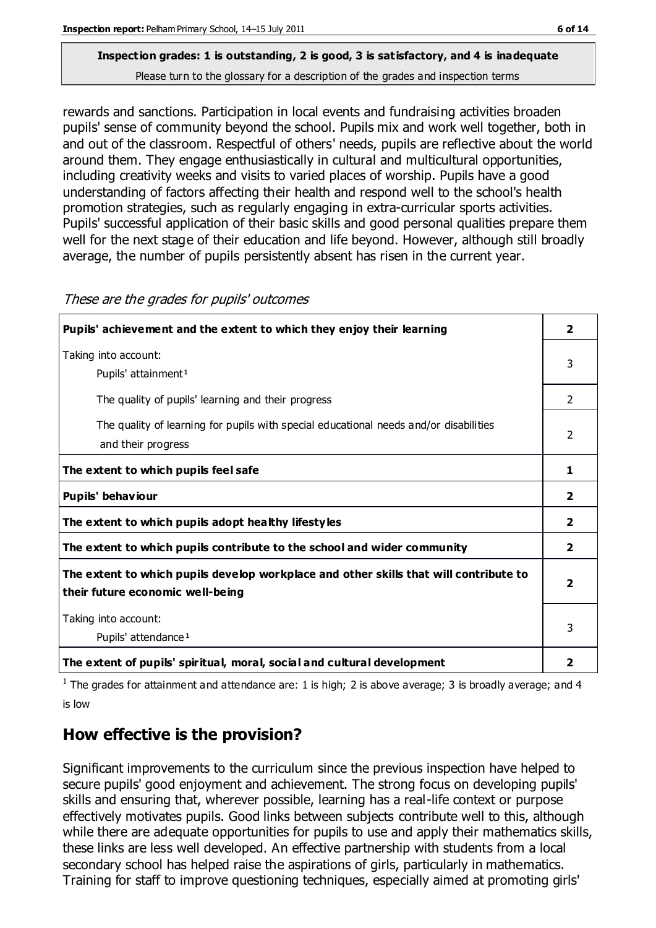## **Inspection grades: 1 is outstanding, 2 is good, 3 is satisfactory, and 4 is inadequate**

Please turn to the glossary for a description of the grades and inspection terms

rewards and sanctions. Participation in local events and fundraising activities broaden pupils' sense of community beyond the school. Pupils mix and work well together, both in and out of the classroom. Respectful of others' needs, pupils are reflective about the world around them. They engage enthusiastically in cultural and multicultural opportunities, including creativity weeks and visits to varied places of worship. Pupils have a good understanding of factors affecting their health and respond well to the school's health promotion strategies, such as regularly engaging in extra-curricular sports activities. Pupils' successful application of their basic skills and good personal qualities prepare them well for the next stage of their education and life beyond. However, although still broadly average, the number of pupils persistently absent has risen in the current year.

| Pupils' achievement and the extent to which they enjoy their learning                                                     | 2              |
|---------------------------------------------------------------------------------------------------------------------------|----------------|
| Taking into account:<br>Pupils' attainment <sup>1</sup>                                                                   | 3              |
| The quality of pupils' learning and their progress                                                                        | 2              |
| The quality of learning for pupils with special educational needs and/or disabilities<br>and their progress               | $\mathcal{P}$  |
| The extent to which pupils feel safe                                                                                      | 1              |
| Pupils' behaviour                                                                                                         | $\overline{2}$ |
| The extent to which pupils adopt healthy lifestyles                                                                       | $\mathbf{2}$   |
| The extent to which pupils contribute to the school and wider community                                                   | $\overline{2}$ |
| The extent to which pupils develop workplace and other skills that will contribute to<br>their future economic well-being | 2              |
| Taking into account:<br>Pupils' attendance <sup>1</sup>                                                                   | 3              |
| The extent of pupils' spiritual, moral, social and cultural development                                                   | 2              |

These are the grades for pupils' outcomes

<sup>1</sup> The grades for attainment and attendance are: 1 is high; 2 is above average; 3 is broadly average; and 4 is low

## **How effective is the provision?**

Significant improvements to the curriculum since the previous inspection have helped to secure pupils' good enjoyment and achievement. The strong focus on developing pupils' skills and ensuring that, wherever possible, learning has a real-life context or purpose effectively motivates pupils. Good links between subjects contribute well to this, although while there are adequate opportunities for pupils to use and apply their mathematics skills, these links are less well developed. An effective partnership with students from a local secondary school has helped raise the aspirations of girls, particularly in mathematics. Training for staff to improve questioning techniques, especially aimed at promoting girls'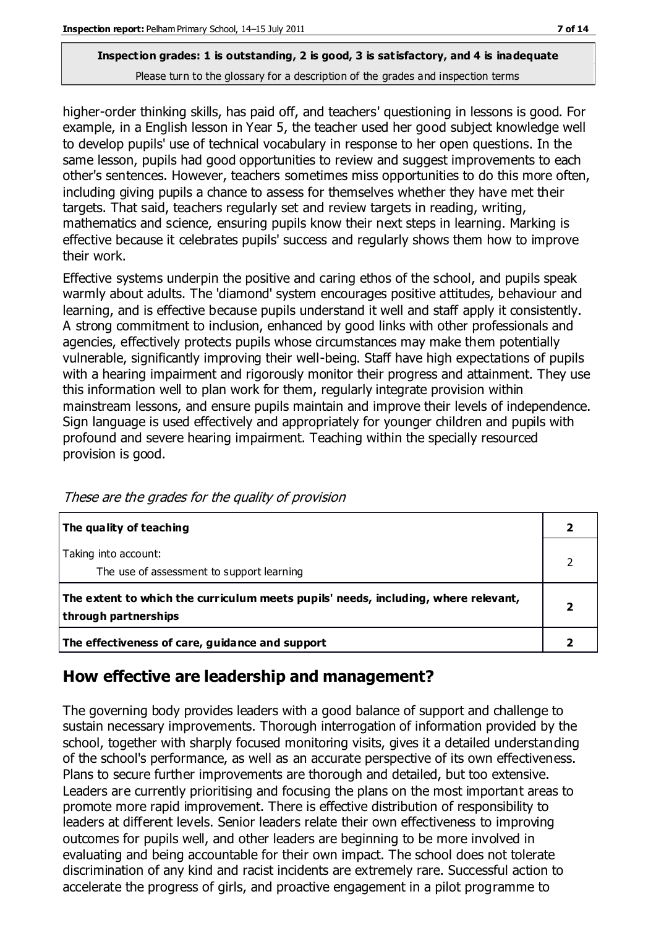#### **Inspection grades: 1 is outstanding, 2 is good, 3 is satisfactory, and 4 is inadequate** Please turn to the glossary for a description of the grades and inspection terms

higher-order thinking skills, has paid off, and teachers' questioning in lessons is good. For example, in a English lesson in Year 5, the teacher used her good subject knowledge well to develop pupils' use of technical vocabulary in response to her open questions. In the same lesson, pupils had good opportunities to review and suggest improvements to each other's sentences. However, teachers sometimes miss opportunities to do this more often, including giving pupils a chance to assess for themselves whether they have met their targets. That said, teachers regularly set and review targets in reading, writing, mathematics and science, ensuring pupils know their next steps in learning. Marking is effective because it celebrates pupils' success and regularly shows them how to improve their work.

Effective systems underpin the positive and caring ethos of the school, and pupils speak warmly about adults. The 'diamond' system encourages positive attitudes, behaviour and learning, and is effective because pupils understand it well and staff apply it consistently. A strong commitment to inclusion, enhanced by good links with other professionals and agencies, effectively protects pupils whose circumstances may make them potentially vulnerable, significantly improving their well-being. Staff have high expectations of pupils with a hearing impairment and rigorously monitor their progress and attainment. They use this information well to plan work for them, regularly integrate provision within mainstream lessons, and ensure pupils maintain and improve their levels of independence. Sign language is used effectively and appropriately for younger children and pupils with profound and severe hearing impairment. Teaching within the specially resourced provision is good.

| The quality of teaching                                                                                    |  |
|------------------------------------------------------------------------------------------------------------|--|
| Taking into account:<br>The use of assessment to support learning                                          |  |
| The extent to which the curriculum meets pupils' needs, including, where relevant,<br>through partnerships |  |
| The effectiveness of care, guidance and support                                                            |  |

These are the grades for the quality of provision

### **How effective are leadership and management?**

The governing body provides leaders with a good balance of support and challenge to sustain necessary improvements. Thorough interrogation of information provided by the school, together with sharply focused monitoring visits, gives it a detailed understanding of the school's performance, as well as an accurate perspective of its own effectiveness. Plans to secure further improvements are thorough and detailed, but too extensive. Leaders are currently prioritising and focusing the plans on the most important areas to promote more rapid improvement. There is effective distribution of responsibility to leaders at different levels. Senior leaders relate their own effectiveness to improving outcomes for pupils well, and other leaders are beginning to be more involved in evaluating and being accountable for their own impact. The school does not tolerate discrimination of any kind and racist incidents are extremely rare. Successful action to accelerate the progress of girls, and proactive engagement in a pilot programme to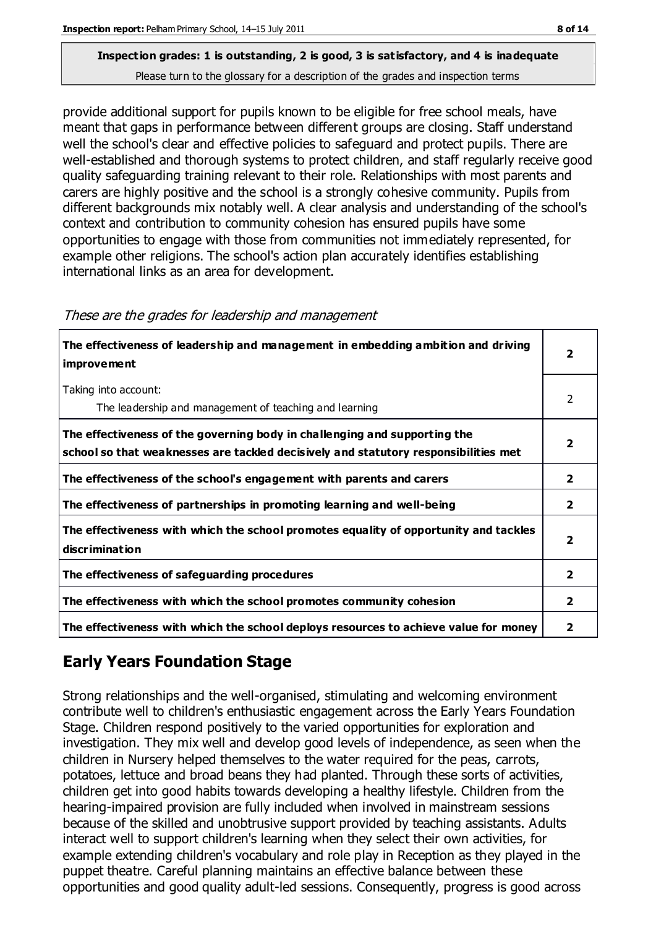## **Inspection grades: 1 is outstanding, 2 is good, 3 is satisfactory, and 4 is inadequate**

Please turn to the glossary for a description of the grades and inspection terms

provide additional support for pupils known to be eligible for free school meals, have meant that gaps in performance between different groups are closing. Staff understand well the school's clear and effective policies to safeguard and protect pupils. There are well-established and thorough systems to protect children, and staff regularly receive good quality safeguarding training relevant to their role. Relationships with most parents and carers are highly positive and the school is a strongly cohesive community. Pupils from different backgrounds mix notably well. A clear analysis and understanding of the school's context and contribution to community cohesion has ensured pupils have some opportunities to engage with those from communities not immediately represented, for example other religions. The school's action plan accurately identifies establishing international links as an area for development.

| The effectiveness of leadership and management in embedding ambition and driving<br><i>improvement</i>                                                           | 2                       |
|------------------------------------------------------------------------------------------------------------------------------------------------------------------|-------------------------|
| Taking into account:<br>The leadership and management of teaching and learning                                                                                   | 2                       |
| The effectiveness of the governing body in challenging and supporting the<br>school so that weaknesses are tackled decisively and statutory responsibilities met | 2                       |
| The effectiveness of the school's engagement with parents and carers                                                                                             | $\mathbf{2}$            |
| The effectiveness of partnerships in promoting learning and well-being                                                                                           | $\overline{2}$          |
| The effectiveness with which the school promotes equality of opportunity and tackles<br>discrimination                                                           | $\overline{\mathbf{2}}$ |
| The effectiveness of safeguarding procedures                                                                                                                     | $\overline{2}$          |
| The effectiveness with which the school promotes community cohesion                                                                                              | 2                       |
| The effectiveness with which the school deploys resources to achieve value for money                                                                             | 2                       |

#### These are the grades for leadership and management

## **Early Years Foundation Stage**

Strong relationships and the well-organised, stimulating and welcoming environment contribute well to children's enthusiastic engagement across the Early Years Foundation Stage. Children respond positively to the varied opportunities for exploration and investigation. They mix well and develop good levels of independence, as seen when the children in Nursery helped themselves to the water required for the peas, carrots, potatoes, lettuce and broad beans they had planted. Through these sorts of activities, children get into good habits towards developing a healthy lifestyle. Children from the hearing-impaired provision are fully included when involved in mainstream sessions because of the skilled and unobtrusive support provided by teaching assistants. Adults interact well to support children's learning when they select their own activities, for example extending children's vocabulary and role play in Reception as they played in the puppet theatre. Careful planning maintains an effective balance between these opportunities and good quality adult-led sessions. Consequently, progress is good across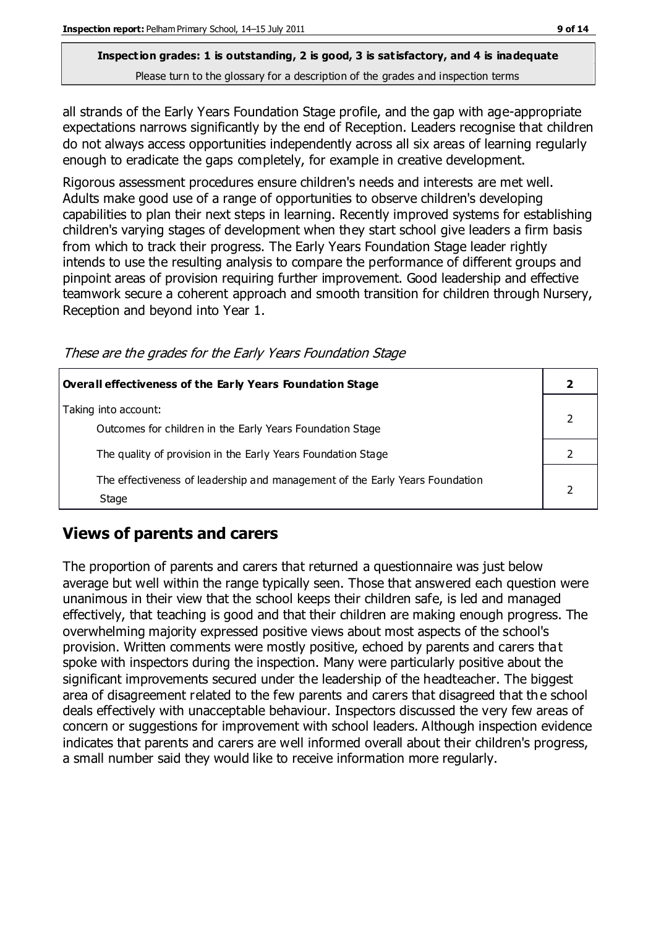## **Inspection grades: 1 is outstanding, 2 is good, 3 is satisfactory, and 4 is inadequate**

Please turn to the glossary for a description of the grades and inspection terms

all strands of the Early Years Foundation Stage profile, and the gap with age-appropriate expectations narrows significantly by the end of Reception. Leaders recognise that children do not always access opportunities independently across all six areas of learning regularly enough to eradicate the gaps completely, for example in creative development.

Rigorous assessment procedures ensure children's needs and interests are met well. Adults make good use of a range of opportunities to observe children's developing capabilities to plan their next steps in learning. Recently improved systems for establishing children's varying stages of development when they start school give leaders a firm basis from which to track their progress. The Early Years Foundation Stage leader rightly intends to use the resulting analysis to compare the performance of different groups and pinpoint areas of provision requiring further improvement. Good leadership and effective teamwork secure a coherent approach and smooth transition for children through Nursery, Reception and beyond into Year 1.

These are the grades for the Early Years Foundation Stage

| Overall effectiveness of the Early Years Foundation Stage                             |  |
|---------------------------------------------------------------------------------------|--|
| Taking into account:<br>Outcomes for children in the Early Years Foundation Stage     |  |
| The quality of provision in the Early Years Foundation Stage                          |  |
| The effectiveness of leadership and management of the Early Years Foundation<br>Stage |  |

## **Views of parents and carers**

The proportion of parents and carers that returned a questionnaire was just below average but well within the range typically seen. Those that answered each question were unanimous in their view that the school keeps their children safe, is led and managed effectively, that teaching is good and that their children are making enough progress. The overwhelming majority expressed positive views about most aspects of the school's provision. Written comments were mostly positive, echoed by parents and carers that spoke with inspectors during the inspection. Many were particularly positive about the significant improvements secured under the leadership of the headteacher. The biggest area of disagreement related to the few parents and carers that disagreed that th e school deals effectively with unacceptable behaviour. Inspectors discussed the very few areas of concern or suggestions for improvement with school leaders. Although inspection evidence indicates that parents and carers are well informed overall about their children's progress, a small number said they would like to receive information more regularly.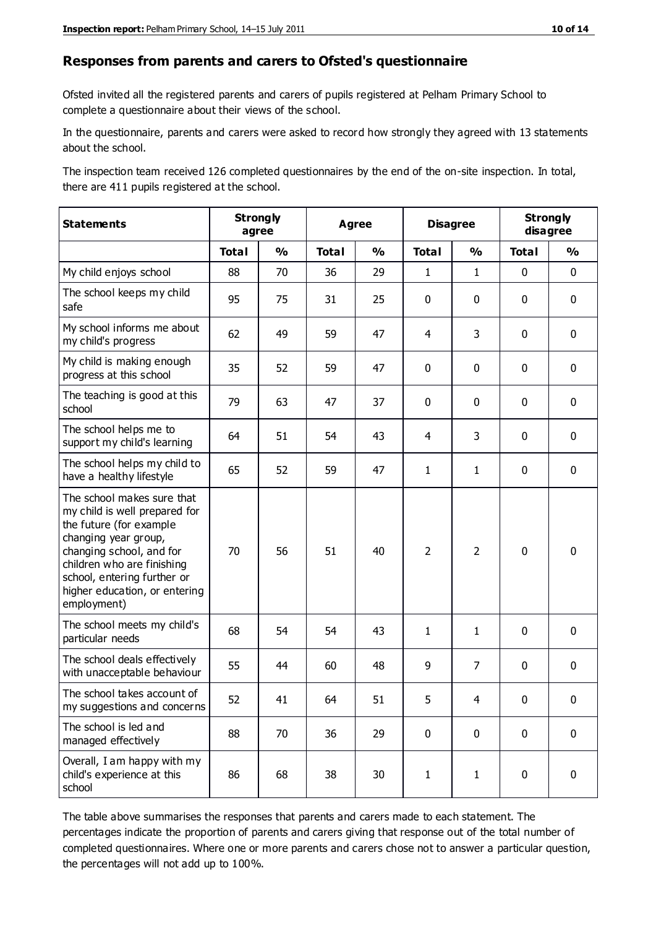#### **Responses from parents and carers to Ofsted's questionnaire**

Ofsted invited all the registered parents and carers of pupils registered at Pelham Primary School to complete a questionnaire about their views of the school.

In the questionnaire, parents and carers were asked to record how strongly they agreed with 13 statements about the school.

The inspection team received 126 completed questionnaires by the end of the on-site inspection. In total, there are 411 pupils registered at the school.

| <b>Statements</b>                                                                                                                                                                                                                                       | <b>Strongly</b><br>agree |               | <b>Agree</b> |               | <b>Disagree</b> |                | <b>Strongly</b><br>disagree |               |
|---------------------------------------------------------------------------------------------------------------------------------------------------------------------------------------------------------------------------------------------------------|--------------------------|---------------|--------------|---------------|-----------------|----------------|-----------------------------|---------------|
|                                                                                                                                                                                                                                                         | <b>Total</b>             | $\frac{0}{0}$ | <b>Total</b> | $\frac{0}{0}$ | <b>Total</b>    | $\frac{0}{0}$  | <b>Total</b>                | $\frac{0}{0}$ |
| My child enjoys school                                                                                                                                                                                                                                  | 88                       | 70            | 36           | 29            | $\mathbf{1}$    | $\mathbf{1}$   | $\mathbf 0$                 | $\mathbf 0$   |
| The school keeps my child<br>safe                                                                                                                                                                                                                       | 95                       | 75            | 31           | 25            | 0               | $\mathbf 0$    | $\mathbf 0$                 | $\mathbf 0$   |
| My school informs me about<br>my child's progress                                                                                                                                                                                                       | 62                       | 49            | 59           | 47            | 4               | 3              | $\mathbf 0$                 | $\mathbf 0$   |
| My child is making enough<br>progress at this school                                                                                                                                                                                                    | 35                       | 52            | 59           | 47            | 0               | $\mathbf 0$    | $\mathbf 0$                 | $\mathbf 0$   |
| The teaching is good at this<br>school                                                                                                                                                                                                                  | 79                       | 63            | 47           | 37            | 0               | $\mathbf 0$    | $\mathbf 0$                 | $\mathbf 0$   |
| The school helps me to<br>support my child's learning                                                                                                                                                                                                   | 64                       | 51            | 54           | 43            | 4               | 3              | $\mathbf 0$                 | $\mathbf 0$   |
| The school helps my child to<br>have a healthy lifestyle                                                                                                                                                                                                | 65                       | 52            | 59           | 47            | $\mathbf{1}$    | $\mathbf{1}$   | $\mathbf 0$                 | $\mathbf 0$   |
| The school makes sure that<br>my child is well prepared for<br>the future (for example<br>changing year group,<br>changing school, and for<br>children who are finishing<br>school, entering further or<br>higher education, or entering<br>employment) | 70                       | 56            | 51           | 40            | $\overline{2}$  | $\overline{2}$ | $\mathbf 0$                 | $\mathbf 0$   |
| The school meets my child's<br>particular needs                                                                                                                                                                                                         | 68                       | 54            | 54           | 43            | $\mathbf{1}$    | 1              | $\mathbf 0$                 | $\mathbf 0$   |
| The school deals effectively<br>with unacceptable behaviour                                                                                                                                                                                             | 55                       | 44            | 60           | 48            | 9               | $\overline{7}$ | $\mathbf 0$                 | $\pmb{0}$     |
| The school takes account of<br>my suggestions and concerns                                                                                                                                                                                              | 52                       | 41            | 64           | 51            | 5               | 4              | $\Omega$                    | 0             |
| The school is led and<br>managed effectively                                                                                                                                                                                                            | 88                       | 70            | 36           | 29            | $\mathbf 0$     | $\mathbf 0$    | $\mathbf 0$                 | $\mathbf 0$   |
| Overall, I am happy with my<br>child's experience at this<br>school                                                                                                                                                                                     | 86                       | 68            | 38           | 30            | $\mathbf{1}$    | $\mathbf{1}$   | $\mathbf 0$                 | $\pmb{0}$     |

The table above summarises the responses that parents and carers made to each statement. The percentages indicate the proportion of parents and carers giving that response out of the total number of completed questionnaires. Where one or more parents and carers chose not to answer a particular question, the percentages will not add up to 100%.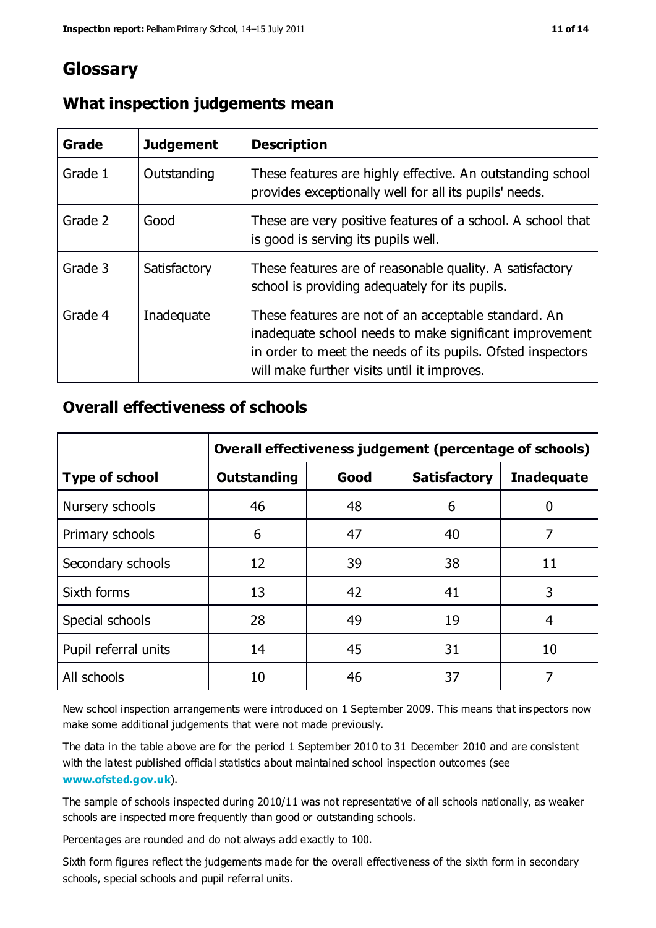## **Glossary**

| Grade   | <b>Judgement</b> | <b>Description</b>                                                                                                                                                                                                            |
|---------|------------------|-------------------------------------------------------------------------------------------------------------------------------------------------------------------------------------------------------------------------------|
| Grade 1 | Outstanding      | These features are highly effective. An outstanding school<br>provides exceptionally well for all its pupils' needs.                                                                                                          |
| Grade 2 | Good             | These are very positive features of a school. A school that<br>is good is serving its pupils well.                                                                                                                            |
| Grade 3 | Satisfactory     | These features are of reasonable quality. A satisfactory<br>school is providing adequately for its pupils.                                                                                                                    |
| Grade 4 | Inadequate       | These features are not of an acceptable standard. An<br>inadequate school needs to make significant improvement<br>in order to meet the needs of its pupils. Ofsted inspectors<br>will make further visits until it improves. |

### **What inspection judgements mean**

### **Overall effectiveness of schools**

|                       | Overall effectiveness judgement (percentage of schools) |      |                     |                   |
|-----------------------|---------------------------------------------------------|------|---------------------|-------------------|
| <b>Type of school</b> | <b>Outstanding</b>                                      | Good | <b>Satisfactory</b> | <b>Inadequate</b> |
| Nursery schools       | 46                                                      | 48   | 6                   |                   |
| Primary schools       | 6                                                       | 47   | 40                  | 7                 |
| Secondary schools     | 12                                                      | 39   | 38                  | 11                |
| Sixth forms           | 13                                                      | 42   | 41                  | 3                 |
| Special schools       | 28                                                      | 49   | 19                  | 4                 |
| Pupil referral units  | 14                                                      | 45   | 31                  | 10                |
| All schools           | 10                                                      | 46   | 37                  |                   |

New school inspection arrangements were introduced on 1 September 2009. This means that inspectors now make some additional judgements that were not made previously.

The data in the table above are for the period 1 September 2010 to 31 December 2010 and are consistent with the latest published official statistics about maintained school inspection outcomes (see **[www.ofsted.gov.uk](http://www.ofsted.gov.uk/)**).

The sample of schools inspected during 2010/11 was not representative of all schools nationally, as weaker schools are inspected more frequently than good or outstanding schools.

Percentages are rounded and do not always add exactly to 100.

Sixth form figures reflect the judgements made for the overall effectiveness of the sixth form in secondary schools, special schools and pupil referral units.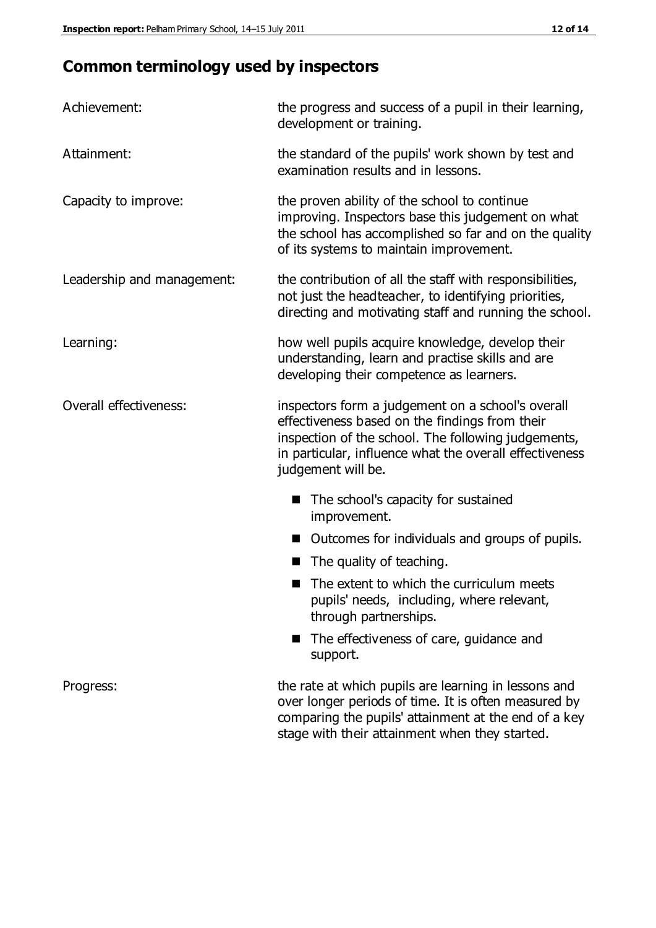## **Common terminology used by inspectors**

| Achievement:               | the progress and success of a pupil in their learning,<br>development or training.                                                                                                                                                          |  |
|----------------------------|---------------------------------------------------------------------------------------------------------------------------------------------------------------------------------------------------------------------------------------------|--|
| Attainment:                | the standard of the pupils' work shown by test and<br>examination results and in lessons.                                                                                                                                                   |  |
| Capacity to improve:       | the proven ability of the school to continue<br>improving. Inspectors base this judgement on what<br>the school has accomplished so far and on the quality<br>of its systems to maintain improvement.                                       |  |
| Leadership and management: | the contribution of all the staff with responsibilities,<br>not just the headteacher, to identifying priorities,<br>directing and motivating staff and running the school.                                                                  |  |
| Learning:                  | how well pupils acquire knowledge, develop their<br>understanding, learn and practise skills and are<br>developing their competence as learners.                                                                                            |  |
| Overall effectiveness:     | inspectors form a judgement on a school's overall<br>effectiveness based on the findings from their<br>inspection of the school. The following judgements,<br>in particular, influence what the overall effectiveness<br>judgement will be. |  |
|                            | The school's capacity for sustained<br>improvement.                                                                                                                                                                                         |  |
|                            | Outcomes for individuals and groups of pupils.                                                                                                                                                                                              |  |
|                            | The quality of teaching.                                                                                                                                                                                                                    |  |
|                            | The extent to which the curriculum meets<br>pupils' needs, including, where relevant,<br>through partnerships.                                                                                                                              |  |
|                            | The effectiveness of care, guidance and<br>support.                                                                                                                                                                                         |  |
| Progress:                  | the rate at which pupils are learning in lessons and<br>over longer periods of time. It is often measured by<br>comparing the pupils' attainment at the end of a key                                                                        |  |

stage with their attainment when they started.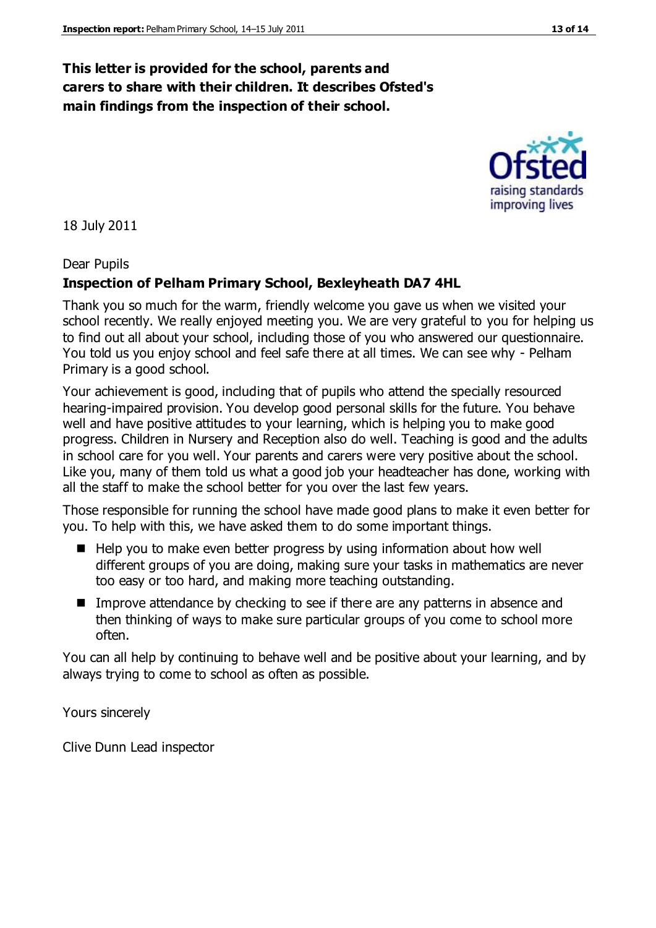### **This letter is provided for the school, parents and carers to share with their children. It describes Ofsted's main findings from the inspection of their school.**

18 July 2011

#### Dear Pupils

#### **Inspection of Pelham Primary School, Bexleyheath DA7 4HL**

Thank you so much for the warm, friendly welcome you gave us when we visited your school recently. We really enjoyed meeting you. We are very grateful to you for helping us to find out all about your school, including those of you who answered our questionnaire. You told us you enjoy school and feel safe there at all times. We can see why - Pelham Primary is a good school.

Your achievement is good, including that of pupils who attend the specially resourced hearing-impaired provision. You develop good personal skills for the future. You behave well and have positive attitudes to your learning, which is helping you to make good progress. Children in Nursery and Reception also do well. Teaching is good and the adults in school care for you well. Your parents and carers were very positive about the school. Like you, many of them told us what a good job your headteacher has done, working with all the staff to make the school better for you over the last few years.

Those responsible for running the school have made good plans to make it even better for you. To help with this, we have asked them to do some important things.

- $\blacksquare$  Help you to make even better progress by using information about how well different groups of you are doing, making sure your tasks in mathematics are never too easy or too hard, and making more teaching outstanding.
- Improve attendance by checking to see if there are any patterns in absence and then thinking of ways to make sure particular groups of you come to school more often.

You can all help by continuing to behave well and be positive about your learning, and by always trying to come to school as often as possible.

Yours sincerely

Clive Dunn Lead inspector